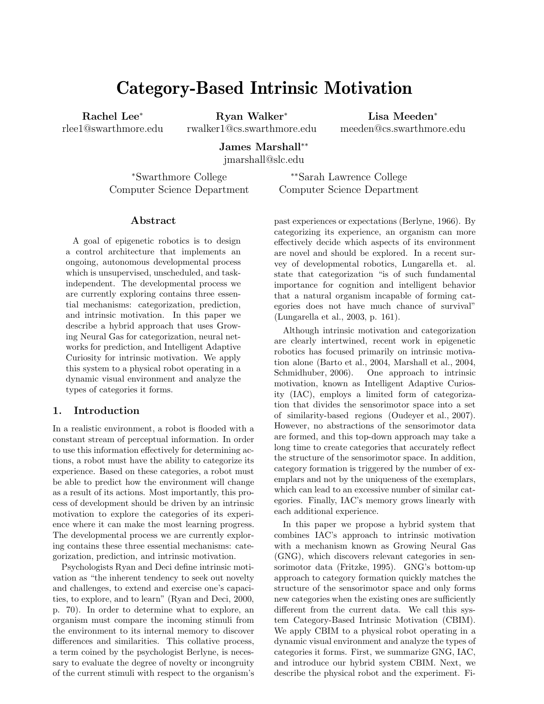# Category-Based Intrinsic Motivation

Rachel Lee<sup>∗</sup> rlee1@swarthmore.edu

Ryan Walker<sup>∗</sup> rwalker1@cs.swarthmore.edu

Lisa Meeden<sup>∗</sup> meeden@cs.swarthmore.edu

James Marshall∗∗

jmarshall@slc.edu

<sup>∗</sup>Swarthmore College Computer Science Department

∗∗Sarah Lawrence College Computer Science Department

#### Abstract

A goal of epigenetic robotics is to design a control architecture that implements an ongoing, autonomous developmental process which is unsupervised, unscheduled, and taskindependent. The developmental process we are currently exploring contains three essential mechanisms: categorization, prediction, and intrinsic motivation. In this paper we describe a hybrid approach that uses Growing Neural Gas for categorization, neural networks for prediction, and Intelligent Adaptive Curiosity for intrinsic motivation. We apply this system to a physical robot operating in a dynamic visual environment and analyze the types of categories it forms.

## 1. Introduction

In a realistic environment, a robot is flooded with a constant stream of perceptual information. In order to use this information effectively for determining actions, a robot must have the ability to categorize its experience. Based on these categories, a robot must be able to predict how the environment will change as a result of its actions. Most importantly, this process of development should be driven by an intrinsic motivation to explore the categories of its experience where it can make the most learning progress. The developmental process we are currently exploring contains these three essential mechanisms: categorization, prediction, and intrinsic motivation.

Psychologists Ryan and Deci define intrinsic motivation as "the inherent tendency to seek out novelty and challenges, to extend and exercise one's capacities, to explore, and to learn" (Ryan and Deci, 2000, p. 70). In order to determine what to explore, an organism must compare the incoming stimuli from the environment to its internal memory to discover differences and similarities. This collative process, a term coined by the psychologist Berlyne, is necessary to evaluate the degree of novelty or incongruity of the current stimuli with respect to the organism's past experiences or expectations (Berlyne, 1966). By categorizing its experience, an organism can more effectively decide which aspects of its environment are novel and should be explored. In a recent survey of developmental robotics, Lungarella et. al. state that categorization "is of such fundamental importance for cognition and intelligent behavior that a natural organism incapable of forming categories does not have much chance of survival" (Lungarella et al., 2003, p. 161).

Although intrinsic motivation and categorization are clearly intertwined, recent work in epigenetic robotics has focused primarily on intrinsic motivation alone (Barto et al., 2004, Marshall et al., 2004, Schmidhuber, 2006). One approach to intrinsic motivation, known as Intelligent Adaptive Curiosity (IAC), employs a limited form of categorization that divides the sensorimotor space into a set of similarity-based regions (Oudeyer et al., 2007). However, no abstractions of the sensorimotor data are formed, and this top-down approach may take a long time to create categories that accurately reflect the structure of the sensorimotor space. In addition, category formation is triggered by the number of exemplars and not by the uniqueness of the exemplars, which can lead to an excessive number of similar categories. Finally, IAC's memory grows linearly with each additional experience.

In this paper we propose a hybrid system that combines IAC's approach to intrinsic motivation with a mechanism known as Growing Neural Gas (GNG), which discovers relevant categories in sensorimotor data (Fritzke, 1995). GNG's bottom-up approach to category formation quickly matches the structure of the sensorimotor space and only forms new categories when the existing ones are sufficiently different from the current data. We call this system Category-Based Intrinsic Motivation (CBIM). We apply CBIM to a physical robot operating in a dynamic visual environment and analyze the types of categories it forms. First, we summarize GNG, IAC, and introduce our hybrid system CBIM. Next, we describe the physical robot and the experiment. Fi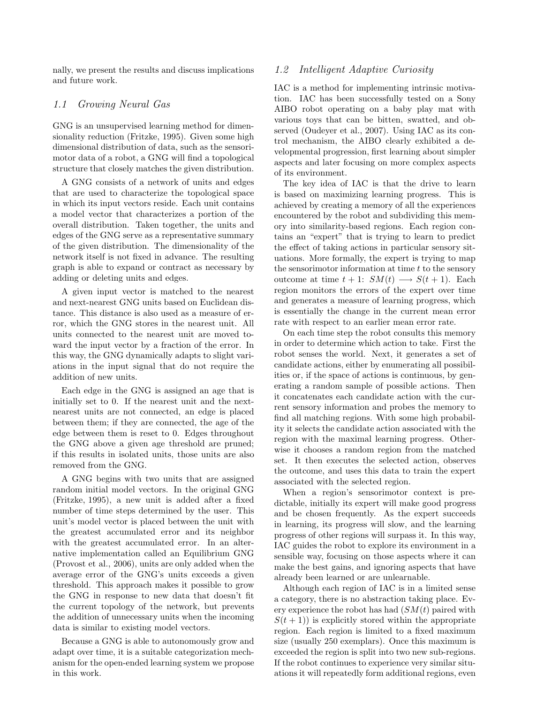nally, we present the results and discuss implications and future work.

### 1.1 Growing Neural Gas

GNG is an unsupervised learning method for dimensionality reduction (Fritzke, 1995). Given some high dimensional distribution of data, such as the sensorimotor data of a robot, a GNG will find a topological structure that closely matches the given distribution.

A GNG consists of a network of units and edges that are used to characterize the topological space in which its input vectors reside. Each unit contains a model vector that characterizes a portion of the overall distribution. Taken together, the units and edges of the GNG serve as a representative summary of the given distribution. The dimensionality of the network itself is not fixed in advance. The resulting graph is able to expand or contract as necessary by adding or deleting units and edges.

A given input vector is matched to the nearest and next-nearest GNG units based on Euclidean distance. This distance is also used as a measure of error, which the GNG stores in the nearest unit. All units connected to the nearest unit are moved toward the input vector by a fraction of the error. In this way, the GNG dynamically adapts to slight variations in the input signal that do not require the addition of new units.

Each edge in the GNG is assigned an age that is initially set to 0. If the nearest unit and the nextnearest units are not connected, an edge is placed between them; if they are connected, the age of the edge between them is reset to 0. Edges throughout the GNG above a given age threshold are pruned; if this results in isolated units, those units are also removed from the GNG.

A GNG begins with two units that are assigned random initial model vectors. In the original GNG (Fritzke, 1995), a new unit is added after a fixed number of time steps determined by the user. This unit's model vector is placed between the unit with the greatest accumulated error and its neighbor with the greatest accumulated error. In an alternative implementation called an Equilibrium GNG (Provost et al., 2006), units are only added when the average error of the GNG's units exceeds a given threshold. This approach makes it possible to grow the GNG in response to new data that doesn't fit the current topology of the network, but prevents the addition of unnecessary units when the incoming data is similar to existing model vectors.

Because a GNG is able to autonomously grow and adapt over time, it is a suitable categorization mechanism for the open-ended learning system we propose in this work.

#### 1.2 Intelligent Adaptive Curiosity

IAC is a method for implementing intrinsic motivation. IAC has been successfully tested on a Sony AIBO robot operating on a baby play mat with various toys that can be bitten, swatted, and observed (Oudeyer et al., 2007). Using IAC as its control mechanism, the AIBO clearly exhibited a developmental progression, first learning about simpler aspects and later focusing on more complex aspects of its environment.

The key idea of IAC is that the drive to learn is based on maximizing learning progress. This is achieved by creating a memory of all the experiences encountered by the robot and subdividing this memory into similarity-based regions. Each region contains an "expert" that is trying to learn to predict the effect of taking actions in particular sensory situations. More formally, the expert is trying to map the sensorimotor information at time  $t$  to the sensory outcome at time  $t + 1$ :  $SM(t) \longrightarrow S(t + 1)$ . Each region monitors the errors of the expert over time and generates a measure of learning progress, which is essentially the change in the current mean error rate with respect to an earlier mean error rate.

On each time step the robot consults this memory in order to determine which action to take. First the robot senses the world. Next, it generates a set of candidate actions, either by enumerating all possibilities or, if the space of actions is continuous, by generating a random sample of possible actions. Then it concatenates each candidate action with the current sensory information and probes the memory to find all matching regions. With some high probability it selects the candidate action associated with the region with the maximal learning progress. Otherwise it chooses a random region from the matched set. It then executes the selected action, observes the outcome, and uses this data to train the expert associated with the selected region.

When a region's sensorimotor context is predictable, initially its expert will make good progress and be chosen frequently. As the expert succeeds in learning, its progress will slow, and the learning progress of other regions will surpass it. In this way, IAC guides the robot to explore its environment in a sensible way, focusing on those aspects where it can make the best gains, and ignoring aspects that have already been learned or are unlearnable.

Although each region of IAC is in a limited sense a category, there is no abstraction taking place. Every experience the robot has had  $(SM(t))$  paired with  $S(t + 1)$  is explicitly stored within the appropriate region. Each region is limited to a fixed maximum size (usually 250 exemplars). Once this maximum is exceeded the region is split into two new sub-regions. If the robot continues to experience very similar situations it will repeatedly form additional regions, even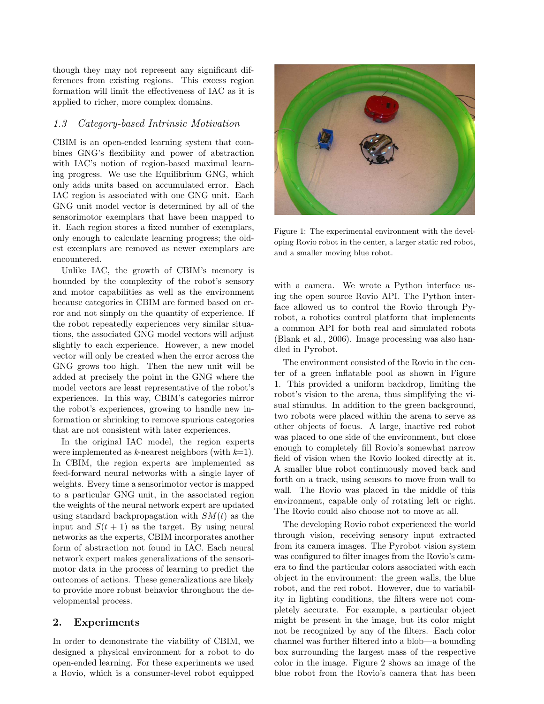though they may not represent any significant differences from existing regions. This excess region formation will limit the effectiveness of IAC as it is applied to richer, more complex domains.

#### 1.3 Category-based Intrinsic Motivation

CBIM is an open-ended learning system that combines GNG's flexibility and power of abstraction with IAC's notion of region-based maximal learning progress. We use the Equilibrium GNG, which only adds units based on accumulated error. Each IAC region is associated with one GNG unit. Each GNG unit model vector is determined by all of the sensorimotor exemplars that have been mapped to it. Each region stores a fixed number of exemplars, only enough to calculate learning progress; the oldest exemplars are removed as newer exemplars are encountered.

Unlike IAC, the growth of CBIM's memory is bounded by the complexity of the robot's sensory and motor capabilities as well as the environment because categories in CBIM are formed based on error and not simply on the quantity of experience. If the robot repeatedly experiences very similar situations, the associated GNG model vectors will adjust slightly to each experience. However, a new model vector will only be created when the error across the GNG grows too high. Then the new unit will be added at precisely the point in the GNG where the model vectors are least representative of the robot's experiences. In this way, CBIM's categories mirror the robot's experiences, growing to handle new information or shrinking to remove spurious categories that are not consistent with later experiences.

In the original IAC model, the region experts were implemented as k-nearest neighbors (with  $k=1$ ). In CBIM, the region experts are implemented as feed-forward neural networks with a single layer of weights. Every time a sensorimotor vector is mapped to a particular GNG unit, in the associated region the weights of the neural network expert are updated using standard backpropagation with  $SM(t)$  as the input and  $S(t + 1)$  as the target. By using neural networks as the experts, CBIM incorporates another form of abstraction not found in IAC. Each neural network expert makes generalizations of the sensorimotor data in the process of learning to predict the outcomes of actions. These generalizations are likely to provide more robust behavior throughout the developmental process.

#### 2. Experiments

In order to demonstrate the viability of CBIM, we designed a physical environment for a robot to do open-ended learning. For these experiments we used a Rovio, which is a consumer-level robot equipped



Figure 1: The experimental environment with the developing Rovio robot in the center, a larger static red robot, and a smaller moving blue robot.

with a camera. We wrote a Python interface using the open source Rovio API. The Python interface allowed us to control the Rovio through Pyrobot, a robotics control platform that implements a common API for both real and simulated robots (Blank et al., 2006). Image processing was also handled in Pyrobot.

The environment consisted of the Rovio in the center of a green inflatable pool as shown in Figure 1. This provided a uniform backdrop, limiting the robot's vision to the arena, thus simplifying the visual stimulus. In addition to the green background, two robots were placed within the arena to serve as other objects of focus. A large, inactive red robot was placed to one side of the environment, but close enough to completely fill Rovio's somewhat narrow field of vision when the Rovio looked directly at it. A smaller blue robot continuously moved back and forth on a track, using sensors to move from wall to wall. The Rovio was placed in the middle of this environment, capable only of rotating left or right. The Rovio could also choose not to move at all.

The developing Rovio robot experienced the world through vision, receiving sensory input extracted from its camera images. The Pyrobot vision system was configured to filter images from the Rovio's camera to find the particular colors associated with each object in the environment: the green walls, the blue robot, and the red robot. However, due to variability in lighting conditions, the filters were not completely accurate. For example, a particular object might be present in the image, but its color might not be recognized by any of the filters. Each color channel was further filtered into a blob—a bounding box surrounding the largest mass of the respective color in the image. Figure 2 shows an image of the blue robot from the Rovio's camera that has been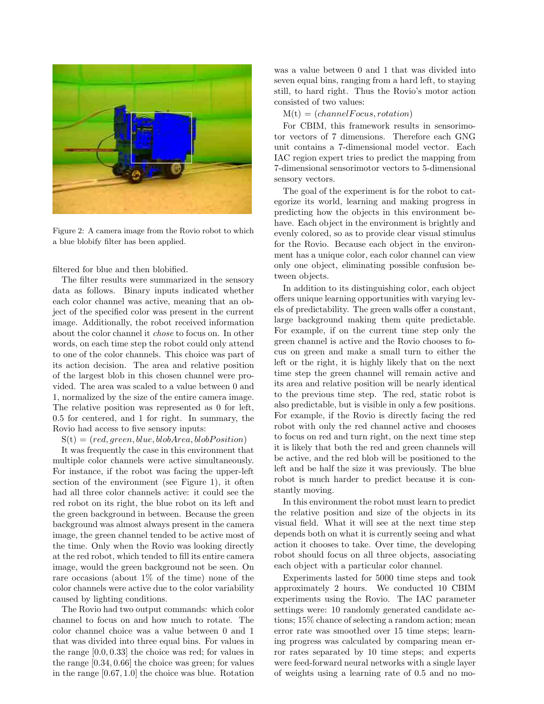

Figure 2: A camera image from the Rovio robot to which a blue blobify filter has been applied.

filtered for blue and then blobified.

The filter results were summarized in the sensory data as follows. Binary inputs indicated whether each color channel was active, meaning that an object of the specified color was present in the current image. Additionally, the robot received information about the color channel it chose to focus on. In other words, on each time step the robot could only attend to one of the color channels. This choice was part of its action decision. The area and relative position of the largest blob in this chosen channel were provided. The area was scaled to a value between 0 and 1, normalized by the size of the entire camera image. The relative position was represented as 0 for left, 0.5 for centered, and 1 for right. In summary, the Rovio had access to five sensory inputs:

 $S(t) = (red, green, blue, blobArea, blobPosition)$ 

It was frequently the case in this environment that multiple color channels were active simultaneously. For instance, if the robot was facing the upper-left section of the environment (see Figure 1), it often had all three color channels active: it could see the red robot on its right, the blue robot on its left and the green background in between. Because the green background was almost always present in the camera image, the green channel tended to be active most of the time. Only when the Rovio was looking directly at the red robot, which tended to fill its entire camera image, would the green background not be seen. On rare occasions (about 1% of the time) none of the color channels were active due to the color variability caused by lighting conditions.

The Rovio had two output commands: which color channel to focus on and how much to rotate. The color channel choice was a value between 0 and 1 that was divided into three equal bins. For values in the range [0.0, 0.33] the choice was red; for values in the range [0.34, 0.66] the choice was green; for values in the range [0.67, 1.0] the choice was blue. Rotation

was a value between 0 and 1 that was divided into seven equal bins, ranging from a hard left, to staying still, to hard right. Thus the Rovio's motor action consisted of two values:

 $M(t) = (channelFocus, rotation)$ 

For CBIM, this framework results in sensorimotor vectors of 7 dimensions. Therefore each GNG unit contains a 7-dimensional model vector. Each IAC region expert tries to predict the mapping from 7-dimensional sensorimotor vectors to 5-dimensional sensory vectors.

The goal of the experiment is for the robot to categorize its world, learning and making progress in predicting how the objects in this environment behave. Each object in the environment is brightly and evenly colored, so as to provide clear visual stimulus for the Rovio. Because each object in the environment has a unique color, each color channel can view only one object, eliminating possible confusion between objects.

In addition to its distinguishing color, each object offers unique learning opportunities with varying levels of predictability. The green walls offer a constant, large background making them quite predictable. For example, if on the current time step only the green channel is active and the Rovio chooses to focus on green and make a small turn to either the left or the right, it is highly likely that on the next time step the green channel will remain active and its area and relative position will be nearly identical to the previous time step. The red, static robot is also predictable, but is visible in only a few positions. For example, if the Rovio is directly facing the red robot with only the red channel active and chooses to focus on red and turn right, on the next time step it is likely that both the red and green channels will be active, and the red blob will be positioned to the left and be half the size it was previously. The blue robot is much harder to predict because it is constantly moving.

In this environment the robot must learn to predict the relative position and size of the objects in its visual field. What it will see at the next time step depends both on what it is currently seeing and what action it chooses to take. Over time, the developing robot should focus on all three objects, associating each object with a particular color channel.

Experiments lasted for 5000 time steps and took approximately 2 hours. We conducted 10 CBIM experiments using the Rovio. The IAC parameter settings were: 10 randomly generated candidate actions; 15% chance of selecting a random action; mean error rate was smoothed over 15 time steps; learning progress was calculated by comparing mean error rates separated by 10 time steps; and experts were feed-forward neural networks with a single layer of weights using a learning rate of 0.5 and no mo-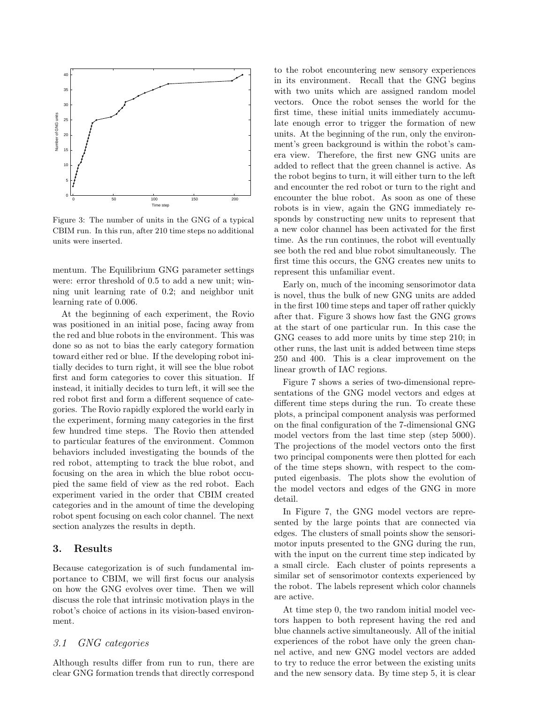

Figure 3: The number of units in the GNG of a typical CBIM run. In this run, after 210 time steps no additional units were inserted.

mentum. The Equilibrium GNG parameter settings were: error threshold of 0.5 to add a new unit; winning unit learning rate of 0.2; and neighbor unit learning rate of 0.006.

At the beginning of each experiment, the Rovio was positioned in an initial pose, facing away from the red and blue robots in the environment. This was done so as not to bias the early category formation toward either red or blue. If the developing robot initially decides to turn right, it will see the blue robot first and form categories to cover this situation. If instead, it initially decides to turn left, it will see the red robot first and form a different sequence of categories. The Rovio rapidly explored the world early in the experiment, forming many categories in the first few hundred time steps. The Rovio then attended to particular features of the environment. Common behaviors included investigating the bounds of the red robot, attempting to track the blue robot, and focusing on the area in which the blue robot occupied the same field of view as the red robot. Each experiment varied in the order that CBIM created categories and in the amount of time the developing robot spent focusing on each color channel. The next section analyzes the results in depth.

## 3. Results

Because categorization is of such fundamental importance to CBIM, we will first focus our analysis on how the GNG evolves over time. Then we will discuss the role that intrinsic motivation plays in the robot's choice of actions in its vision-based environment.

# 3.1 GNG categories

Although results differ from run to run, there are clear GNG formation trends that directly correspond

to the robot encountering new sensory experiences in its environment. Recall that the GNG begins with two units which are assigned random model vectors. Once the robot senses the world for the first time, these initial units immediately accumulate enough error to trigger the formation of new units. At the beginning of the run, only the environment's green background is within the robot's camera view. Therefore, the first new GNG units are added to reflect that the green channel is active. As the robot begins to turn, it will either turn to the left and encounter the red robot or turn to the right and encounter the blue robot. As soon as one of these robots is in view, again the GNG immediately responds by constructing new units to represent that a new color channel has been activated for the first time. As the run continues, the robot will eventually see both the red and blue robot simultaneously. The first time this occurs, the GNG creates new units to represent this unfamiliar event.

Early on, much of the incoming sensorimotor data is novel, thus the bulk of new GNG units are added in the first 100 time steps and taper off rather quickly after that. Figure 3 shows how fast the GNG grows at the start of one particular run. In this case the GNG ceases to add more units by time step 210; in other runs, the last unit is added between time steps 250 and 400. This is a clear improvement on the linear growth of IAC regions.

Figure 7 shows a series of two-dimensional representations of the GNG model vectors and edges at different time steps during the run. To create these plots, a principal component analysis was performed on the final configuration of the 7-dimensional GNG model vectors from the last time step (step 5000). The projections of the model vectors onto the first two principal components were then plotted for each of the time steps shown, with respect to the computed eigenbasis. The plots show the evolution of the model vectors and edges of the GNG in more detail.

In Figure 7, the GNG model vectors are represented by the large points that are connected via edges. The clusters of small points show the sensorimotor inputs presented to the GNG during the run, with the input on the current time step indicated by a small circle. Each cluster of points represents a similar set of sensorimotor contexts experienced by the robot. The labels represent which color channels are active.

At time step 0, the two random initial model vectors happen to both represent having the red and blue channels active simultaneously. All of the initial experiences of the robot have only the green channel active, and new GNG model vectors are added to try to reduce the error between the existing units and the new sensory data. By time step 5, it is clear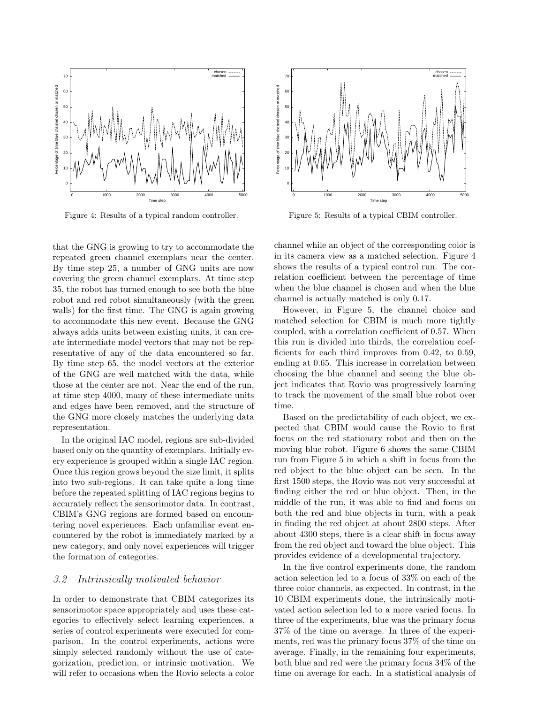

Figure 4: Results of a typical random controller.

that the GNG is growing to try to accommodate the repeated green channel exemplars near the center. By time step 25, a number of GNG units are now covering the green channel exemplars. At time step 35, the robot has turned enough to see both the blue robot and red robot simultaneously (with the green walls) for the first time. The GNG is again growing to accommodate this new event. Because the GNG always adds units between existing units, it can create intermediate model vectors that may not be representative of any of the data encountered so far. By time step 65, the model vectors at the exterior of the GNG are well matched with the data, while those at the center are not. Near the end of the run, at time step 4000, many of these intermediate units and edges have been removed, and the structure of the GNG more closely matches the underlying data representation.

In the original IAC model, regions are sub-divided based only on the quantity of exemplars. Initially every experience is grouped within a single IAC region. Once this region grows beyond the size limit, it splits into two sub-regions. It can take quite a long time before the repeated splitting of IAC regions begins to accurately reflect the sensorimotor data. In contrast, CBIM's GNG regions are formed based on encountering novel experiences. Each unfamiliar event encountered by the robot is immediately marked by a new category, and only novel experiences will trigger the formation of categories.

#### 3.2 Intrinsically motivated behavior

In order to demonstrate that CBIM categorizes its sensorimotor space appropriately and uses these categories to effectively select learning experiences, a series of control experiments were executed for comparison. In the control experiments, actions were simply selected randomly without the use of categorization, prediction, or intrinsic motivation. We will refer to occasions when the Rovio selects a color



Figure 5: Results of a typical CBIM controller.

channel while an object of the corresponding color is in its camera view as a matched selection. Figure 4 shows the results of a typical control run. The correlation coefficient between the percentage of time when the blue channel is chosen and when the blue channel is actually matched is only 0.17.

However, in Figure 5, the channel choice and matched selection for CBIM is much more tightly coupled, with a correlation coefficient of 0.57. When this run is divided into thirds, the correlation coefficients for each third improves from 0.42, to 0.59, ending at 0.65. This increase in correlation between choosing the blue channel and seeing the blue object indicates that Rovio was progressively learning to track the movement of the small blue robot over time.

Based on the predictability of each object, we expected that CBIM would cause the Rovio to first focus on the red stationary robot and then on the moving blue robot. Figure 6 shows the same CBIM run from Figure 5 in which a shift in focus from the red object to the blue object can be seen. In the first 1500 steps, the Rovio was not very successful at finding either the red or blue object. Then, in the middle of the run, it was able to find and focus on both the red and blue objects in turn, with a peak in finding the red object at about 2800 steps. After about 4300 steps, there is a clear shift in focus away from the red object and toward the blue object. This provides evidence of a developmental trajectory.

In the five control experiments done, the random action selection led to a focus of 33% on each of the three color channels, as expected. In contrast, in the 10 CBIM experiments done, the intrinsically motivated action selection led to a more varied focus. In three of the experiments, blue was the primary focus 37% of the time on average. In three of the experiments, red was the primary focus 37% of the time on average. Finally, in the remaining four experiments, both blue and red were the primary focus 34% of the time on average for each. In a statistical analysis of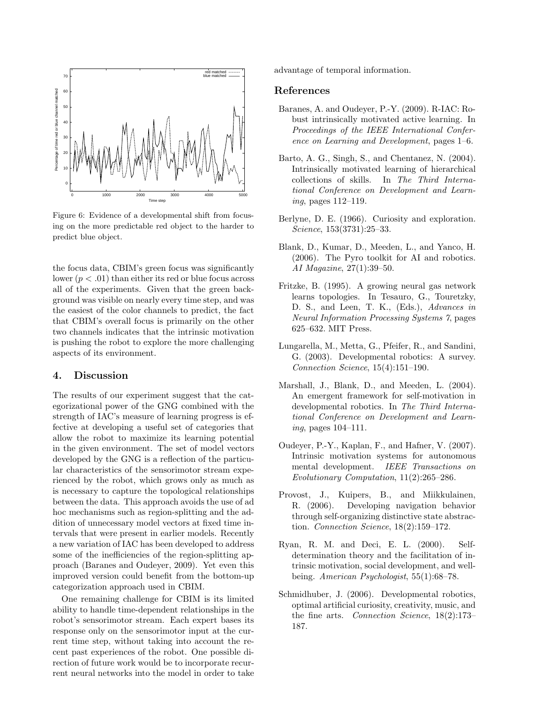

Figure 6: Evidence of a developmental shift from focusing on the more predictable red object to the harder to predict blue object.

the focus data, CBIM's green focus was significantly lower  $(p < .01)$  than either its red or blue focus across all of the experiments. Given that the green background was visible on nearly every time step, and was the easiest of the color channels to predict, the fact that CBIM's overall focus is primarily on the other two channels indicates that the intrinsic motivation is pushing the robot to explore the more challenging aspects of its environment.

#### 4. Discussion

The results of our experiment suggest that the categorizational power of the GNG combined with the strength of IAC's measure of learning progress is effective at developing a useful set of categories that allow the robot to maximize its learning potential in the given environment. The set of model vectors developed by the GNG is a reflection of the particular characteristics of the sensorimotor stream experienced by the robot, which grows only as much as is necessary to capture the topological relationships between the data. This approach avoids the use of ad hoc mechanisms such as region-splitting and the addition of unnecessary model vectors at fixed time intervals that were present in earlier models. Recently a new variation of IAC has been developed to address some of the inefficiencies of the region-splitting approach (Baranes and Oudeyer, 2009). Yet even this improved version could benefit from the bottom-up categorization approach used in CBIM.

One remaining challenge for CBIM is its limited ability to handle time-dependent relationships in the robot's sensorimotor stream. Each expert bases its response only on the sensorimotor input at the current time step, without taking into account the recent past experiences of the robot. One possible direction of future work would be to incorporate recurrent neural networks into the model in order to take advantage of temporal information.

#### References

- Baranes, A. and Oudeyer, P.-Y. (2009). R-IAC: Robust intrinsically motivated active learning. In Proceedings of the IEEE International Conference on Learning and Development, pages 1–6.
- Barto, A. G., Singh, S., and Chentanez, N. (2004). Intrinsically motivated learning of hierarchical collections of skills. In The Third International Conference on Development and Learning, pages 112–119.
- Berlyne, D. E. (1966). Curiosity and exploration. Science, 153(3731):25–33.
- Blank, D., Kumar, D., Meeden, L., and Yanco, H. (2006). The Pyro toolkit for AI and robotics. AI Magazine, 27(1):39–50.
- Fritzke, B. (1995). A growing neural gas network learns topologies. In Tesauro, G., Touretzky, D. S., and Leen, T. K., (Eds.), Advances in Neural Information Processing Systems 7, pages 625–632. MIT Press.
- Lungarella, M., Metta, G., Pfeifer, R., and Sandini, G. (2003). Developmental robotics: A survey. Connection Science, 15(4):151–190.
- Marshall, J., Blank, D., and Meeden, L. (2004). An emergent framework for self-motivation in developmental robotics. In The Third International Conference on Development and Learning, pages 104–111.
- Oudeyer, P.-Y., Kaplan, F., and Hafner, V. (2007). Intrinsic motivation systems for autonomous mental development. IEEE Transactions on Evolutionary Computation, 11(2):265–286.
- Provost, J., Kuipers, B., and Miikkulainen, R. (2006). Developing navigation behavior through self-organizing distinctive state abstraction. Connection Science, 18(2):159–172.
- Ryan, R. M. and Deci, E. L. (2000). Selfdetermination theory and the facilitation of intrinsic motivation, social development, and wellbeing. American Psychologist, 55(1):68-78.
- Schmidhuber, J. (2006). Developmental robotics, optimal artificial curiosity, creativity, music, and the fine arts. Connection Science, 18(2):173– 187.